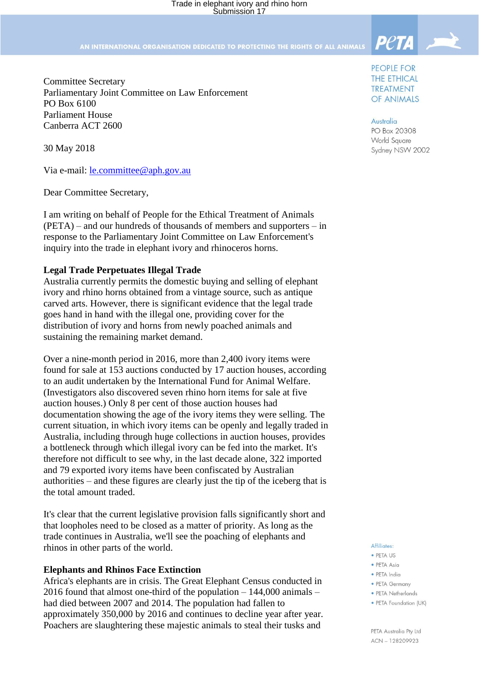# Trade in elephant ivory and rhino horn<br>Submission 17

Committee Secretary Parliamentary Joint Committee on Law Enforcement PO Box 6100 Parliament House Canberra ACT 2600

30 May 2018

Via e-mail: <u>le.committee@aph.gov.au</u>

Dear Committee Secretary,

I am writing on behalf of People for the Ethical Treatment of Animals (PETA) – and our hundreds of thousands of members and supporters – in response to the Parliamentary Joint Committee on Law Enforcement's inquiry into the trade in elephant ivory and rhinoceros horns.

### **Legal Trade Perpetuates Illegal Trade**

Australia currently permits the domestic buying and selling of elephant ivory and rhino horns obtained from a vintage source, such as antique carved arts. However, there is significant evidence that the legal trade goes hand in hand with the illegal one, providing cover for the distribution of ivory and horns from newly poached animals and sustaining the remaining market demand.

Over a nine-month period in 2016, more than 2,400 ivory items were found for sale at 153 auctions conducted by 17 auction houses, according to an audit undertaken by the International Fund for Animal Welfare. (Investigators also discovered seven rhino horn items for sale at five auction houses.) Only 8 per cent of those auction houses had documentation showing the age of the ivory items they were selling. The current situation, in which ivory items can be openly and legally traded in Australia, including through huge collections in auction houses, provides a bottleneck through which illegal ivory can be fed into the market. It's therefore not difficult to see why, in the last decade alone, 322 imported and 79 exported ivory items have been confiscated by Australian authorities – and these figures are clearly just the tip of the iceberg that is the total amount traded.

It's clear that the current legislative provision falls significantly short and that loopholes need to be closed as a matter of priority. As long as the trade continues in Australia, we'll see the poaching of elephants and rhinos in other parts of the world.

### **Elephants and Rhinos Face Extinction**

Africa's elephants are in crisis. The Great Elephant Census conducted in 2016 found that almost one-third of the population – 144,000 animals – had died between 2007 and 2014. The population had fallen to approximately 350,000 by 2016 and continues to decline year after year. Poachers are slaughtering these majestic animals to steal their tusks and

PEOPLE FOR **THE ETHICAL TREATMENT** OF ANIMALS

**PetA** 

Australia PO Box 20308 **World Sauare** Sydney NSW 2002

#### Affiliates:

- · PETA US
- · PETA Asia
- $\bullet$  PFTA India
- · PETA Germany
- PETA Netherlands
- · PETA Foundation (UK)

PETA Australia Ptv Ltd  $ACN - 128209923$